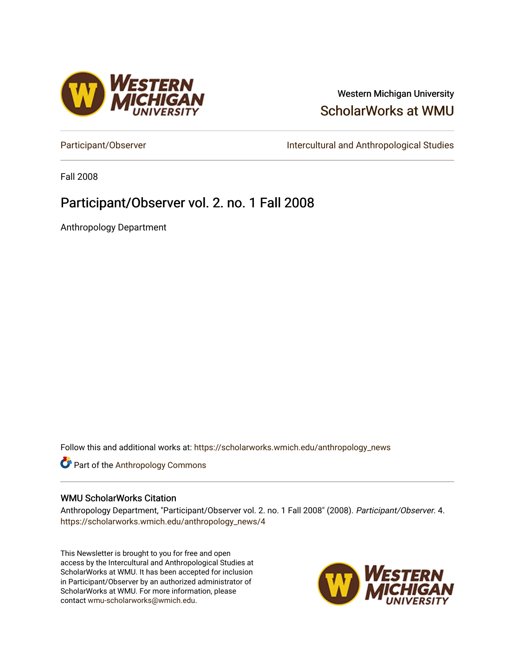

#### Western Michigan University [ScholarWorks at WMU](https://scholarworks.wmich.edu/)

[Participant/Observer](https://scholarworks.wmich.edu/anthropology_news) **Intercultural and Anthropological Studies** 

Fall 2008

#### Participant/Observer vol. 2. no. 1 Fall 2008

Anthropology Department

Follow this and additional works at: [https://scholarworks.wmich.edu/anthropology\\_news](https://scholarworks.wmich.edu/anthropology_news?utm_source=scholarworks.wmich.edu%2Fanthropology_news%2F4&utm_medium=PDF&utm_campaign=PDFCoverPages) 



#### WMU ScholarWorks Citation

Anthropology Department, "Participant/Observer vol. 2. no. 1 Fall 2008" (2008). Participant/Observer. 4. [https://scholarworks.wmich.edu/anthropology\\_news/4](https://scholarworks.wmich.edu/anthropology_news/4?utm_source=scholarworks.wmich.edu%2Fanthropology_news%2F4&utm_medium=PDF&utm_campaign=PDFCoverPages) 

This Newsletter is brought to you for free and open access by the Intercultural and Anthropological Studies at ScholarWorks at WMU. It has been accepted for inclusion in Participant/Observer by an authorized administrator of ScholarWorks at WMU. For more information, please contact [wmu-scholarworks@wmich.edu](mailto:wmu-scholarworks@wmich.edu).

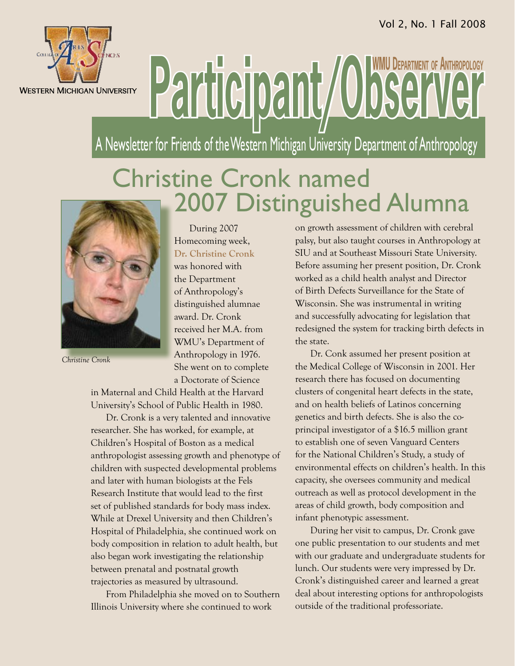

# Participant/Observe **WMU Department of Anthropology**

A Newsletter for Friends of the Western Michigan University Department of Anthropology

## Christine Cronk named 2007 Distinguished Alumna



*Christine Cronk*

During 2007 Homecoming week, **Dr. Christine Cronk** was honored with the Department of Anthropology's distinguished alumnae award. Dr. Cronk received her M.A. from WMU's Department of Anthropology in 1976. She went on to complete a Doctorate of Science

in Maternal and Child Health at the Harvard University's School of Public Health in 1980.

Dr. Cronk is a very talented and innovative researcher. She has worked, for example, at Children's Hospital of Boston as a medical anthropologist assessing growth and phenotype of children with suspected developmental problems and later with human biologists at the Fels Research Institute that would lead to the first set of published standards for body mass index. While at Drexel University and then Children's Hospital of Philadelphia, she continued work on body composition in relation to adult health, but also began work investigating the relationship between prenatal and postnatal growth trajectories as measured by ultrasound.

From Philadelphia she moved on to Southern Illinois University where she continued to work

on growth assessment of children with cerebral palsy, but also taught courses in Anthropology at SIU and at Southeast Missouri State University. Before assuming her present position, Dr. Cronk worked as a child health analyst and Director of Birth Defects Surveillance for the State of Wisconsin. She was instrumental in writing and successfully advocating for legislation that redesigned the system for tracking birth defects in the state.

Dr. Conk assumed her present position at the Medical College of Wisconsin in 2001. Her research there has focused on documenting clusters of congenital heart defects in the state, and on health beliefs of Latinos concerning genetics and birth defects. She is also the coprincipal investigator of a \$16.5 million grant to establish one of seven Vanguard Centers for the National Children's Study, a study of environmental effects on children's health. In this capacity, she oversees community and medical outreach as well as protocol development in the areas of child growth, body composition and infant phenotypic assessment.

During her visit to campus, Dr. Cronk gave one public presentation to our students and met with our graduate and undergraduate students for lunch. Our students were very impressed by Dr. Cronk's distinguished career and learned a great deal about interesting options for anthropologists outside of the traditional professoriate.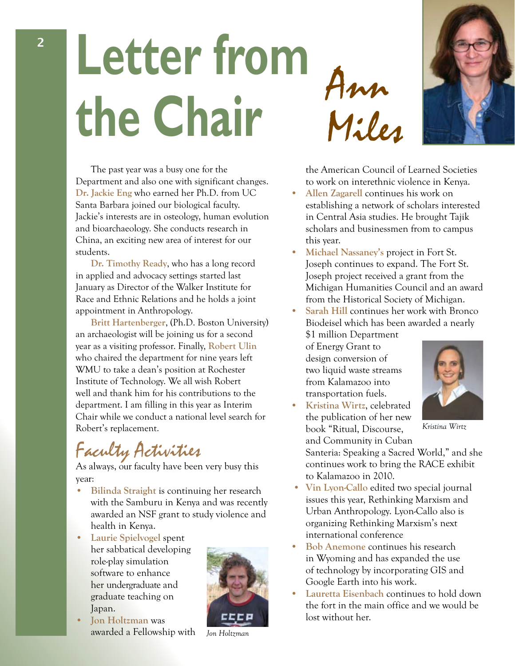## **Letter from the Chair** Ann Miles

The past year was a busy one for the Department and also one with significant changes. **Dr. Jackie Eng** who earned her Ph.D. from UC Santa Barbara joined our biological faculty. Jackie's interests are in osteology, human evolution and bioarchaeology. She conducts research in China, an exciting new area of interest for our students.

**Dr. Timothy Ready**, who has a long record in applied and advocacy settings started last January as Director of the Walker Institute for Race and Ethnic Relations and he holds a joint appointment in Anthropology.

**Britt Hartenberger**, (Ph.D. Boston University) an archaeologist will be joining us for a second year as a visiting professor. Finally, **Robert Ulin** who chaired the department for nine years left WMU to take a dean's position at Rochester Institute of Technology. We all wish Robert well and thank him for his contributions to the department. I am filling in this year as Interim Chair while we conduct a national level search for Robert's replacement.

## Faculty Activities

As always, our faculty have been very busy this year:

- **• Bilinda Straight** is continuing her research with the Samburu in Kenya and was recently awarded an NSF grant to study violence and health in Kenya.
- **• Laurie Spielvogel** spent her sabbatical developing role-play simulation software to enhance her undergraduate and graduate teaching on Japan.
- **lon** Holtzman was awarded a Fellowship with

CCCP

*Jon Holtzman*



the American Council of Learned Societies to work on interethnic violence in Kenya.

- **Allen Zagarell** continues his work on establishing a network of scholars interested in Central Asia studies. He brought Tajik scholars and businessmen from to campus this year.
- **Michael Nassaney's project in Fort St.** Joseph continues to expand. The Fort St. Joseph project received a grant from the Michigan Humanities Council and an award from the Historical Society of Michigan.
- **Sarah Hill** continues her work with Bronco Biodeisel which has been awarded a nearly \$1 million Department

of Energy Grant to design conversion of two liquid waste streams from Kalamazoo into transportation fuels.

**Kristina Wirtz**, celebrated the publication of her new book "Ritual, Discourse,



*Kristina Wirtz*

and Community in Cuban Santeria: Speaking a Sacred World," and she continues work to bring the RACE exhibit to Kalamazoo in 2010.

- **• Vin Lyon-Callo** edited two special journal issues this year, Rethinking Marxism and Urban Anthropology. Lyon-Callo also is organizing Rethinking Marxism's next international conference
- **Bob** Anemone continues his research in Wyoming and has expanded the use of technology by incorporating GIS and Google Earth into his work.
- **Lauretta Eisenbach** continues to hold down the fort in the main office and we would be lost without her.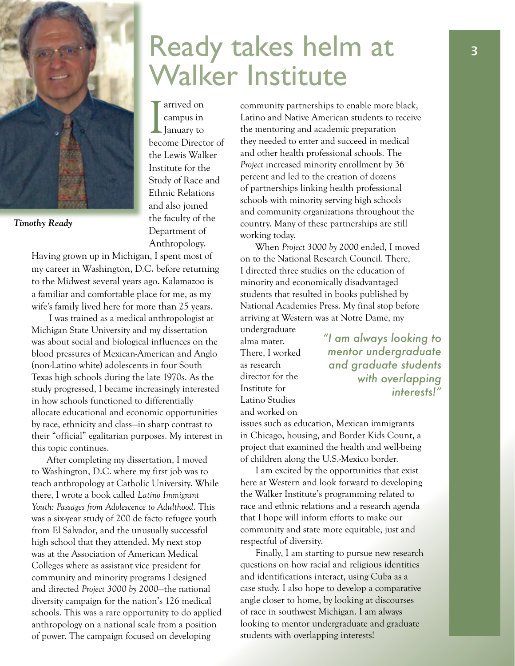

*Timothy Ready*

Having grown up in Michigan, I spent most of my career in Washington, D.C. before returning to the Midwest several years ago. Kalamazoo is a familiar and comfortable place for me, as my wife's family lived here for more than 25 years.

 I was trained as a medical anthropologist at Michigan State University and my dissertation was about social and biological influences on the blood pressures of Mexican-American and Anglo (non-Latino white) adolescents in four South Texas high schools during the late 1970s. As the study progressed, I became increasingly interested in how schools functioned to differentially allocate educational and economic opportunities by race, ethnicity and class—in sharp contrast to their "official" egalitarian purposes. My interest in this topic continues.

After completing my dissertation, I moved to Washington, D.C. where my first job was to teach anthropology at Catholic University. While there, I wrote a book called *Latino Immigrant Youth: Passages from Adolescence to Adulthood*. This was a six-year study of 200 de facto refugee youth from El Salvador, and the unusually successful high school that they attended. My next stop was at the Association of American Medical Colleges where as assistant vice president for community and minority programs I designed and directed *Project 3000 by 2000*—the national diversity campaign for the nation's 126 medical schools. This was a rare opportunity to do applied anthropology on a national scale from a position of power. The campaign focused on developing

## Ready takes helm at Walker Institute

I arrived on<br>
I campus in<br>
January to arrived on campus in become Director of the Lewis Walker Institute for the Study of Race and Ethnic Relations and also joined the faculty of the Department of Anthropology.

community partnerships to enable more black, Latino and Native American students to receive the mentoring and academic preparation they needed to enter and succeed in medical and other health professional schools. The *Project* increased minority enrollment by 36 percent and led to the creation of dozens of partnerships linking health professional schools with minority serving high schools and community organizations throughout the country. Many of these partnerships are still working today.

When *Project 3000 by 2000* ended, I moved on to the National Research Council. There, I directed three studies on the education of minority and economically disadvantaged students that resulted in books published by National Academies Press. My final stop before arriving at Western was at Notre Dame, my undergraduate

alma mater. There, I worked as research director for the Institute for Latino Studies and worked on

*"I am always looking to mentor undergraduate and graduate students with overlapping interests!"*

issues such as education, Mexican immigrants in Chicago, housing, and Border Kids Count, a project that examined the health and well-being of children along the U.S.-Mexico border.

I am excited by the opportunities that exist here at Western and look forward to developing the Walker Institute's programming related to race and ethnic relations and a research agenda that I hope will inform efforts to make our community and state more equitable, just and respectful of diversity.

Finally, I am starting to pursue new research questions on how racial and religious identities and identifications interact, using Cuba as a case study. I also hope to develop a comparative angle closer to home, by looking at discourses of race in southwest Michigan. I am always looking to mentor undergraduate and graduate students with overlapping interests!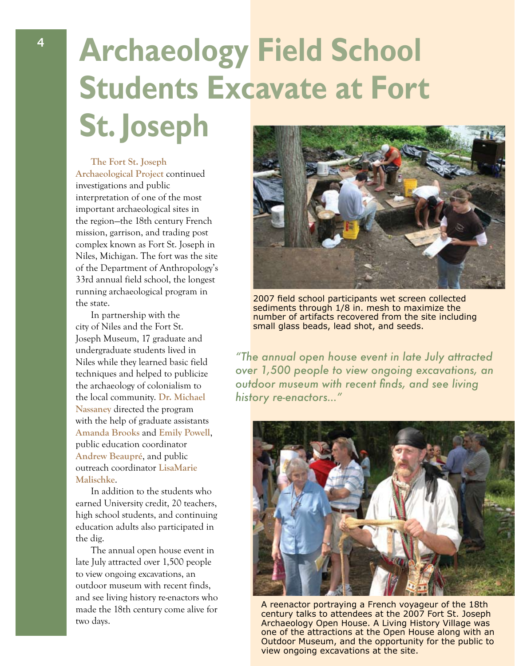## **Archaeology Field School Students Excavate at Fort St. Joseph**

**The Fort St. Joseph Archaeological Project** continued investigations and public interpretation of one of the most important archaeological sites in the region—the 18th century French mission, garrison, and trading post complex known as Fort St. Joseph in Niles, Michigan. The fort was the site of the Department of Anthropology's 33rd annual field school, the longest running archaeological program in the state.

In partnership with the city of Niles and the Fort St. Joseph Museum, 17 graduate and undergraduate students lived in Niles while they learned basic field techniques and helped to publicize the archaeology of colonialism to the local community. **Dr. Michael Nassaney** directed the program with the help of graduate assistants **Amanda Brooks** and **Emily Powell**, public education coordinator **Andrew Beaupré**, and public outreach coordinator **LisaMarie Malischke**.

In addition to the students who earned University credit, 20 teachers, high school students, and continuing education adults also participated in the dig.

The annual open house event in late July attracted over 1,500 people to view ongoing excavations, an outdoor museum with recent finds, and see living history re-enactors who made the 18th century come alive for two days.



2007 field school participants wet screen collected sediments through 1/8 in. mesh to maximize the number of artifacts recovered from the site including small glass beads, lead shot, and seeds.

*"The annual open house event in late July attracted over 1,500 people to view ongoing excavations, an outdoor museum with recent finds, and see living history re-enactors…"*



A reenactor portraying a French voyageur of the 18th century talks to attendees at the 2007 Fort St. Joseph Archaeology Open House. A Living History Village was one of the attractions at the Open House along with an Outdoor Museum, and the opportunity for the public to view ongoing excavations at the site.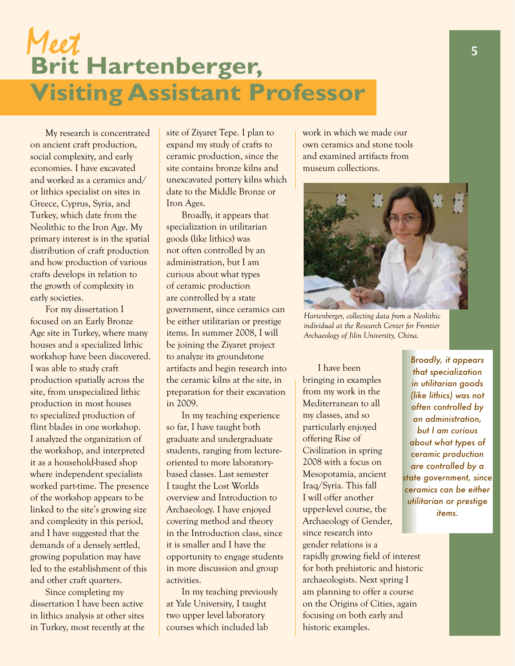## Meet **Brit Hartenberger, Visiting Assistant Professor**

My research is concentrated on ancient craft production, social complexity, and early economies. I have excavated and worked as a ceramics and/ or lithics specialist on sites in Greece, Cyprus, Syria, and Turkey, which date from the Neolithic to the Iron Age. My primary interest is in the spatial distribution of craft production and how production of various crafts develops in relation to the growth of complexity in early societies.

For my dissertation I focused on an Early Bronze Age site in Turkey, where many houses and a specialized lithic workshop have been discovered. I was able to study craft production spatially across the site, from unspecialized lithic production in most houses to specialized production of flint blades in one workshop. I analyzed the organization of the workshop, and interpreted it as a household-based shop where independent specialists worked part-time. The presence of the workshop appears to be linked to the site's growing size and complexity in this period, and I have suggested that the demands of a densely settled, growing population may have led to the establishment of this and other craft quarters.

Since completing my dissertation I have been active in lithics analysis at other sites in Turkey, most recently at the site of Ziyaret Tepe. I plan to expand my study of crafts to ceramic production, since the site contains bronze kilns and unexcavated pottery kilns which date to the Middle Bronze or Iron Ages.

Broadly, it appears that specialization in utilitarian goods (like lithics) was not often controlled by an administration, but I am curious about what types of ceramic production are controlled by a state government, since ceramics can be either utilitarian or prestige items. In summer 2008, I will be joining the Ziyaret project to analyze its groundstone artifacts and begin research into the ceramic kilns at the site, in preparation for their excavation in 2009.

In my teaching experience so far, I have taught both graduate and undergraduate students, ranging from lectureoriented to more laboratorybased classes. Last semester I taught the Lost Worlds overview and Introduction to Archaeology. I have enjoyed covering method and theory in the Introduction class, since it is smaller and I have the opportunity to engage students in more discussion and group activities.

In my teaching previously at Yale University, I taught two upper level laboratory courses which included lab

work in which we made our own ceramics and stone tools and examined artifacts from museum collections.



*Hartenberger, collecting data from a Neolithic individual at the Research Center for Frontier Archaeology of Jilin University, China.*

I have been bringing in examples from my work in the Mediterranean to all my classes, and so particularly enjoyed offering Rise of Civilization in spring 2008 with a focus on Mesopotamia, ancient Iraq/Syria. This fall I will offer another upper-level course, the Archaeology of Gender, since research into gender relations is a rapidly growing field of interest for both prehistoric and historic archaeologists. Next spring I am planning to offer a course on the Origins of Cities, again focusing on both early and historic examples.

*Broadly, it appears that specialization in utilitarian goods (like lithics) was not often controlled by an administration, but I am curious about what types of ceramic production are controlled by a state government, since ceramics can be either utilitarian or prestige items.*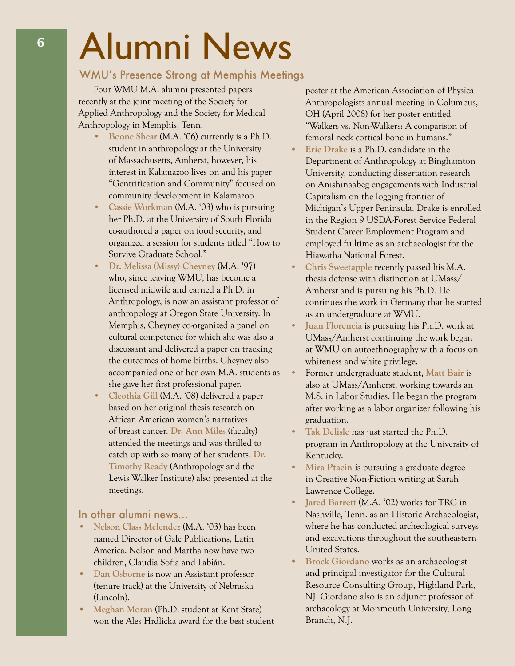# Alumni News

#### WMU's Presence Strong at Memphis Meetings

Four WMU M.A. alumni presented papers recently at the joint meeting of the Society for Applied Anthropology and the Society for Medical Anthropology in Memphis, Tenn.

- **• Boone Shear** (M.A. '06) currently is a Ph.D. student in anthropology at the University of Massachusetts, Amherst, however, his interest in Kalamazoo lives on and his paper "Gentrification and Community" focused on community development in Kalamazoo.
- **Cassie Workman** (M.A. '03) who is pursuing her Ph.D. at the University of South Florida co-authored a paper on food security, and organized a session for students titled "How to Survive Graduate School."
- **• Dr. Melissa (Missy) Cheyney** (M.A. '97) who, since leaving WMU, has become a licensed midwife and earned a Ph.D. in Anthropology, is now an assistant professor of anthropology at Oregon State University. In Memphis, Cheyney co-organized a panel on cultural competence for which she was also a discussant and delivered a paper on tracking the outcomes of home births. Cheyney also accompanied one of her own M.A. students as she gave her first professional paper.
- Cleothia Gill (M.A. '08) delivered a paper based on her original thesis research on African American women's narratives of breast cancer. **Dr. Ann Miles** (faculty) attended the meetings and was thrilled to catch up with so many of her students. **Dr. Timothy Ready** (Anthropology and the Lewis Walker Institute) also presented at the meetings.

#### In other alumni news…

- **Nelson Class Melendez** (M.A. '03) has been named Director of Gale Publications, Latin America. Nelson and Martha now have two children, Claudia Sofia and Fabián.
- **• Dan Osborne** is now an Assistant professor (tenure track) at the University of Nebraska (Lincoln).
- **Meghan Moran** (Ph.D. student at Kent State) won the Ales Hrdlicka award for the best student

poster at the American Association of Physical Anthropologists annual meeting in Columbus, OH (April 2008) for her poster entitled "Walkers vs. Non-Walkers: A comparison of femoral neck cortical bone in humans."

- **Eric** Drake is a Ph.D. candidate in the Department of Anthropology at Binghamton University, conducting dissertation research on Anishinaabeg engagements with Industrial Capitalism on the logging frontier of Michigan's Upper Peninsula. Drake is enrolled in the Region 9 USDA-Forest Service Federal Student Career Employment Program and employed fulltime as an archaeologist for the Hiawatha National Forest.
- **• Chris Sweetapple** recently passed his M.A. thesis defense with distinction at UMass/ Amherst and is pursuing his Ph.D. He continues the work in Germany that he started as an undergraduate at WMU.
- **Juan Florencia** is pursuing his Ph.D. work at UMass/Amherst continuing the work began at WMU on autoethnography with a focus on whiteness and white privilege.
- Former undergraduate student, Matt Bair is also at UMass/Amherst, working towards an M.S. in Labor Studies. He began the program after working as a labor organizer following his graduation.
- Tak Delisle has just started the Ph.D. program in Anthropology at the University of Kentucky.
- **Mira Ptacin is pursuing a graduate degree** in Creative Non-Fiction writing at Sarah Lawrence College.
- **• Jared Barrett** (M.A. '02) works for TRC in Nashville, Tenn. as an Historic Archaeologist, where he has conducted archeological surveys and excavations throughout the southeastern United States.
- **Brock Giordano** works as an archaeologist and principal investigator for the Cultural Resource Consulting Group, Highland Park, NJ. Giordano also is an adjunct professor of archaeology at Monmouth University, Long Branch, N.J.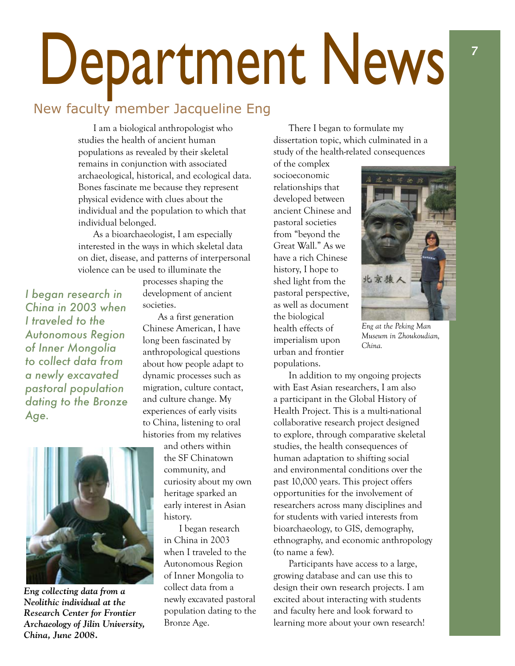# Department News

### New faculty member Jacqueline Eng

I am a biological anthropologist who studies the health of ancient human populations as revealed by their skeletal remains in conjunction with associated archaeological, historical, and ecological data. Bones fascinate me because they represent physical evidence with clues about the individual and the population to which that individual belonged.

As a bioarchaeologist, I am especially interested in the ways in which skeletal data on diet, disease, and patterns of interpersonal violence can be used to illuminate the

*I began research in China in 2003 when I traveled to the Autonomous Region of Inner Mongolia to collect data from a newly excavated pastoral population dating to the Bronze Age.*



*Eng collecting data from a Neolithic individual at the Research Center for Frontier Archaeology of Jilin University, China, June 2008.*

processes shaping the development of ancient societies.

As a first generation Chinese American, I have long been fascinated by anthropological questions about how people adapt to dynamic processes such as migration, culture contact, and culture change. My experiences of early visits to China, listening to oral histories from my relatives

and others within the SF Chinatown community, and curiosity about my own heritage sparked an early interest in Asian history.

I began research in China in 2003 when I traveled to the Autonomous Region of Inner Mongolia to collect data from a newly excavated pastoral population dating to the Bronze Age.

There I began to formulate my dissertation topic, which culminated in a study of the health-related consequences

of the complex socioeconomic relationships that developed between ancient Chinese and pastoral societies from "beyond the Great Wall." As we have a rich Chinese history, I hope to shed light from the pastoral perspective, as well as document the biological health effects of imperialism upon urban and frontier populations.



*Eng at the Peking Man Museum in Zhoukoudian, China.*

In addition to my ongoing projects with East Asian researchers, I am also a participant in the Global History of Health Project. This is a multi-national collaborative research project designed to explore, through comparative skeletal studies, the health consequences of human adaptation to shifting social and environmental conditions over the past 10,000 years. This project offers opportunities for the involvement of researchers across many disciplines and for students with varied interests from bioarchaeology, to GIS, demography, ethnography, and economic anthropology (to name a few).

Participants have access to a large, growing database and can use this to design their own research projects. I am excited about interacting with students and faculty here and look forward to learning more about your own research!